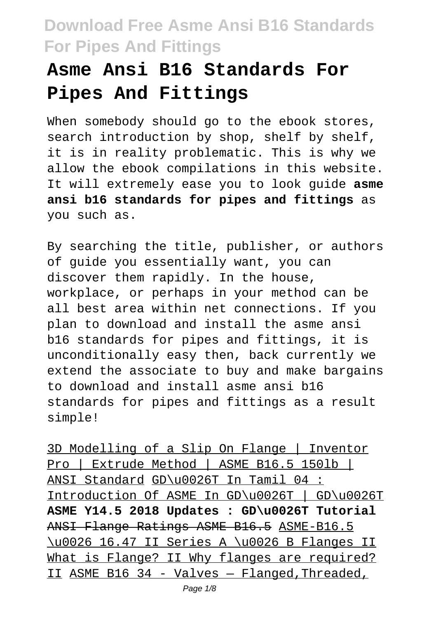# **Asme Ansi B16 Standards For Pipes And Fittings**

When somebody should go to the ebook stores, search introduction by shop, shelf by shelf, it is in reality problematic. This is why we allow the ebook compilations in this website. It will extremely ease you to look guide **asme ansi b16 standards for pipes and fittings** as you such as.

By searching the title, publisher, or authors of guide you essentially want, you can discover them rapidly. In the house, workplace, or perhaps in your method can be all best area within net connections. If you plan to download and install the asme ansi b16 standards for pipes and fittings, it is unconditionally easy then, back currently we extend the associate to buy and make bargains to download and install asme ansi b16 standards for pipes and fittings as a result simple!

3D Modelling of a Slip On Flange | Inventor Pro | Extrude Method | ASME B16.5 150lb | ANSI Standard GD\u0026T In Tamil 04 : Introduction Of ASME In GD\u0026T | GD\u0026T **ASME Y14.5 2018 Updates : GD\u0026T Tutorial** ANSI Flange Ratings ASME B16.5 ASME-B16.5 \u0026 16.47 II Series A \u0026 B Flanges II What is Flange? II Why flanges are required? II ASME B16 34 - Valves — Flanged,Threaded,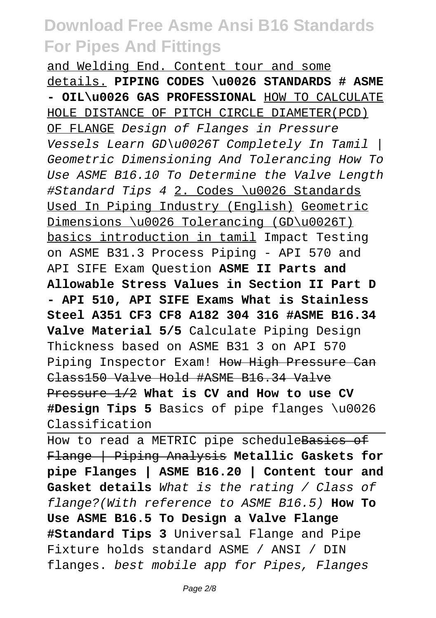and Welding End. Content tour and some details. **PIPING CODES \u0026 STANDARDS # ASME - OIL\u0026 GAS PROFESSIONAL** HOW TO CALCULATE HOLE DISTANCE OF PITCH CIRCLE DIAMETER(PCD) OF FLANGE Design of Flanges in Pressure Vessels Learn GD\u0026T Completely In Tamil | Geometric Dimensioning And Tolerancing How To Use ASME B16.10 To Determine the Valve Length #Standard Tips 4 2. Codes \u0026 Standards Used In Piping Industry (English) Geometric Dimensions \u0026 Tolerancing (GD\u0026T) basics introduction in tamil Impact Testing on ASME B31.3 Process Piping - API 570 and API SIFE Exam Question **ASME II Parts and Allowable Stress Values in Section II Part D - API 510, API SIFE Exams What is Stainless Steel A351 CF3 CF8 A182 304 316 #ASME B16.34 Valve Material 5/5** Calculate Piping Design Thickness based on ASME B31 3 on API 570 Piping Inspector Exam! How High Pressure Can Class150 Valve Hold #ASME B16.34 Valve Pressure 1/2 **What is CV and How to use CV #Design Tips 5** Basics of pipe flanges \u0026 Classification

How to read a METRIC pipe scheduleBasics of Flange | Piping Analysis **Metallic Gaskets for pipe Flanges | ASME B16.20 | Content tour and Gasket details** What is the rating / Class of flange?(With reference to ASME B16.5) **How To Use ASME B16.5 To Design a Valve Flange #Standard Tips 3** Universal Flange and Pipe Fixture holds standard ASME / ANSI / DIN flanges. best mobile app for Pipes, Flanges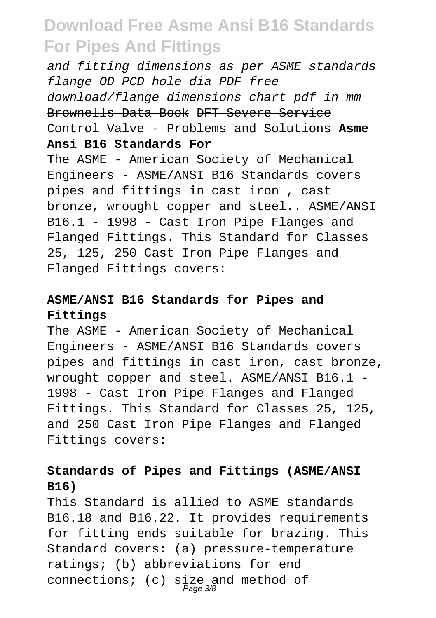and fitting dimensions as per ASME standards flange OD PCD hole dia PDF free download/flange dimensions chart pdf in mm Brownells Data Book DFT Severe Service Control Valve - Problems and Solutions **Asme Ansi B16 Standards For**

The ASME - American Society of Mechanical Engineers - ASME/ANSI B16 Standards covers pipes and fittings in cast iron , cast bronze, wrought copper and steel.. ASME/ANSI B16.1 - 1998 - Cast Iron Pipe Flanges and Flanged Fittings. This Standard for Classes 25, 125, 250 Cast Iron Pipe Flanges and Flanged Fittings covers:

### **ASME/ANSI B16 Standards for Pipes and Fittings**

The ASME - American Society of Mechanical Engineers - ASME/ANSI B16 Standards covers pipes and fittings in cast iron, cast bronze, wrought copper and steel. ASME/ANSI B16.1 - 1998 - Cast Iron Pipe Flanges and Flanged Fittings. This Standard for Classes 25, 125, and 250 Cast Iron Pipe Flanges and Flanged Fittings covers:

### **Standards of Pipes and Fittings (ASME/ANSI B16)**

This Standard is allied to ASME standards B16.18 and B16.22. It provides requirements for fitting ends suitable for brazing. This Standard covers: (a) pressure-temperature ratings; (b) abbreviations for end connections; (c) size and method of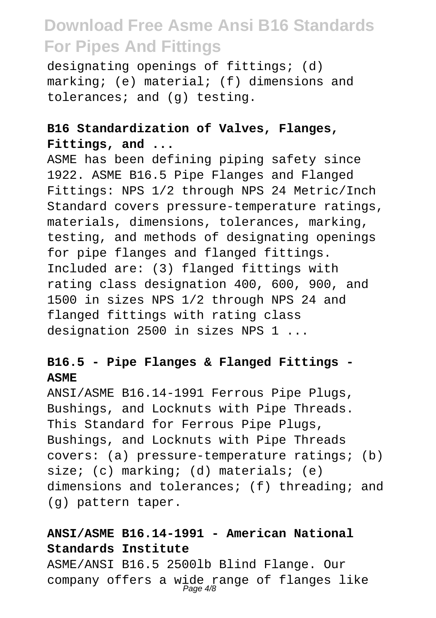designating openings of fittings; (d) marking; (e) material; (f) dimensions and tolerances; and (g) testing.

### **B16 Standardization of Valves, Flanges, Fittings, and ...**

ASME has been defining piping safety since 1922. ASME B16.5 Pipe Flanges and Flanged Fittings: NPS 1/2 through NPS 24 Metric/Inch Standard covers pressure-temperature ratings, materials, dimensions, tolerances, marking, testing, and methods of designating openings for pipe flanges and flanged fittings. Included are: (3) flanged fittings with rating class designation 400, 600, 900, and 1500 in sizes NPS 1/2 through NPS 24 and flanged fittings with rating class designation 2500 in sizes NPS 1 ...

### **B16.5 - Pipe Flanges & Flanged Fittings - ASME**

ANSI/ASME B16.14-1991 Ferrous Pipe Plugs, Bushings, and Locknuts with Pipe Threads. This Standard for Ferrous Pipe Plugs, Bushings, and Locknuts with Pipe Threads covers: (a) pressure-temperature ratings; (b) size; (c) marking; (d) materials; (e) dimensions and tolerances; (f) threading; and (g) pattern taper.

### **ANSI/ASME B16.14-1991 - American National Standards Institute**

ASME/ANSI B16.5 2500lb Blind Flange. Our company offers a wide range of flanges like Page 4/8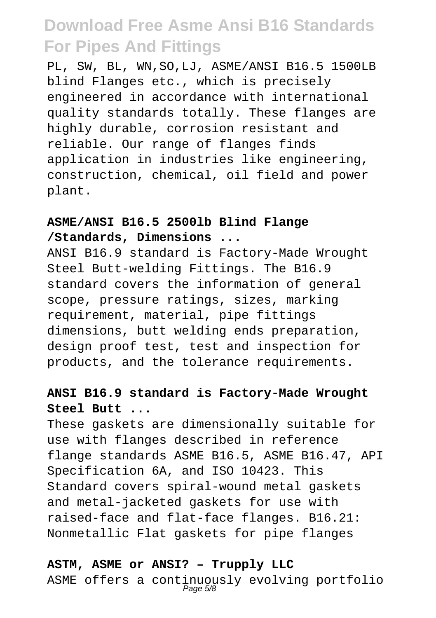PL, SW, BL, WN,SO,LJ, ASME/ANSI B16.5 1500LB blind Flanges etc., which is precisely engineered in accordance with international quality standards totally. These flanges are highly durable, corrosion resistant and reliable. Our range of flanges finds application in industries like engineering, construction, chemical, oil field and power plant.

#### **ASME/ANSI B16.5 2500lb Blind Flange /Standards, Dimensions ...**

ANSI B16.9 standard is Factory-Made Wrought Steel Butt-welding Fittings. The B16.9 standard covers the information of general scope, pressure ratings, sizes, marking requirement, material, pipe fittings dimensions, butt welding ends preparation, design proof test, test and inspection for products, and the tolerance requirements.

### **ANSI B16.9 standard is Factory-Made Wrought Steel Butt ...**

These gaskets are dimensionally suitable for use with flanges described in reference flange standards ASME B16.5, ASME B16.47, API Specification 6A, and ISO 10423. This Standard covers spiral-wound metal gaskets and metal-jacketed gaskets for use with raised-face and flat-face flanges. B16.21: Nonmetallic Flat gaskets for pipe flanges

#### **ASTM, ASME or ANSI? – Trupply LLC**

ASME offers a continuously evolving portfolio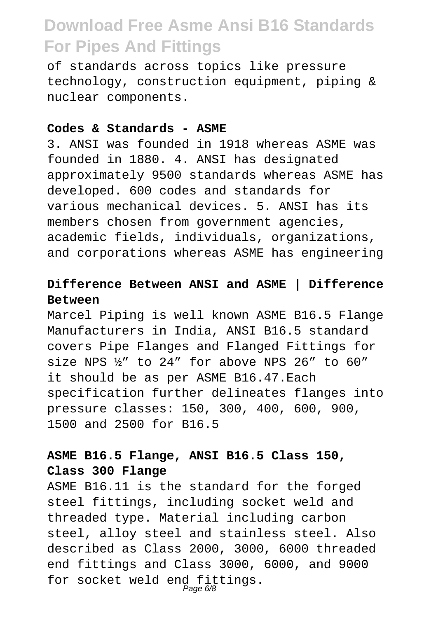of standards across topics like pressure technology, construction equipment, piping & nuclear components.

#### **Codes & Standards - ASME**

3. ANSI was founded in 1918 whereas ASME was founded in 1880. 4. ANSI has designated approximately 9500 standards whereas ASME has developed. 600 codes and standards for various mechanical devices. 5. ANSI has its members chosen from government agencies, academic fields, individuals, organizations, and corporations whereas ASME has engineering

#### **Difference Between ANSI and ASME | Difference Between**

Marcel Piping is well known ASME B16.5 Flange Manufacturers in India, ANSI B16.5 standard covers Pipe Flanges and Flanged Fittings for size NPS ½" to 24" for above NPS 26" to 60" it should be as per ASME B16.47.Each specification further delineates flanges into pressure classes: 150, 300, 400, 600, 900, 1500 and 2500 for B16.5

### **ASME B16.5 Flange, ANSI B16.5 Class 150, Class 300 Flange**

ASME B16.11 is the standard for the forged steel fittings, including socket weld and threaded type. Material including carbon steel, alloy steel and stainless steel. Also described as Class 2000, 3000, 6000 threaded end fittings and Class 3000, 6000, and 9000 for socket weld end fittings. Page 6/8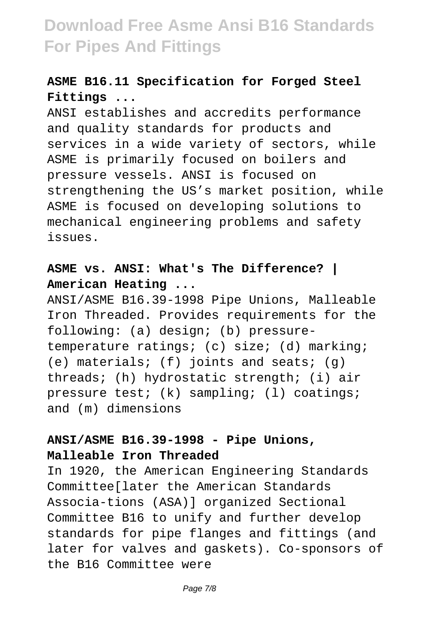### **ASME B16.11 Specification for Forged Steel Fittings ...**

ANSI establishes and accredits performance and quality standards for products and services in a wide variety of sectors, while ASME is primarily focused on boilers and pressure vessels. ANSI is focused on strengthening the US's market position, while ASME is focused on developing solutions to mechanical engineering problems and safety issues.

### **ASME vs. ANSI: What's The Difference? | American Heating ...**

ANSI/ASME B16.39-1998 Pipe Unions, Malleable Iron Threaded. Provides requirements for the following: (a) design; (b) pressuretemperature ratings; (c) size; (d) marking;  $(e)$  materials; (f) joints and seats; (q) threads; (h) hydrostatic strength; (i) air pressure test; (k) sampling; (l) coatings; and (m) dimensions

### **ANSI/ASME B16.39-1998 - Pipe Unions, Malleable Iron Threaded**

In 1920, the American Engineering Standards Committee[later the American Standards Associa-tions (ASA)] organized Sectional Committee B16 to unify and further develop standards for pipe flanges and fittings (and later for valves and gaskets). Co-sponsors of the B16 Committee were